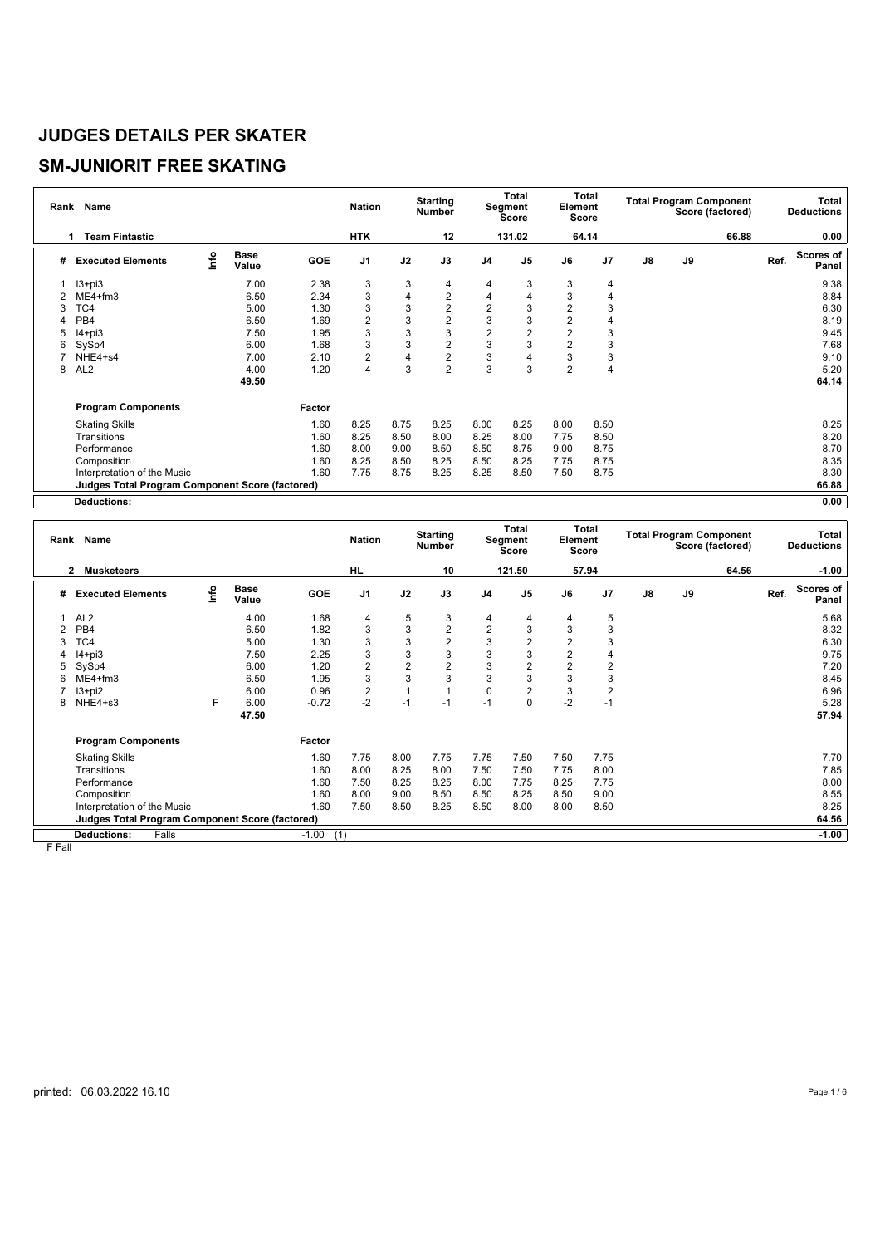## **SM-JUNIORIT FREE SKATING**

|   | Rank Name                                       |      |                      |            | <b>Nation</b>  |      | <b>Starting</b><br>Number |                | Total<br>Segment<br>Score | Element        | Total<br>Score |               | <b>Total Program Component</b> | Score (factored) |      | <b>Total</b><br><b>Deductions</b> |
|---|-------------------------------------------------|------|----------------------|------------|----------------|------|---------------------------|----------------|---------------------------|----------------|----------------|---------------|--------------------------------|------------------|------|-----------------------------------|
|   | <b>Team Fintastic</b><br>1                      |      |                      |            | <b>HTK</b>     |      | 12                        |                | 131.02                    |                | 64.14          |               |                                | 66.88            |      | 0.00                              |
| # | <b>Executed Elements</b>                        | Info | <b>Base</b><br>Value | <b>GOE</b> | J <sub>1</sub> | J2   | J3                        | J <sub>4</sub> | J <sub>5</sub>            | J6             | J7             | $\mathsf{J}8$ | J9                             |                  | Ref. | <b>Scores of</b><br>Panel         |
|   | $13 + pi3$                                      |      | 7.00                 | 2.38       | 3              | 3    | 4                         | 4              | 3                         | 3              | 4              |               |                                |                  |      | 9.38                              |
|   | $ME4 + fm3$                                     |      | 6.50                 | 2.34       | 3              | 4    | $\overline{c}$            | 4              | 4                         | 3              | 4              |               |                                |                  |      | 8.84                              |
| 3 | TC4                                             |      | 5.00                 | 1.30       | 3              | 3    | $\overline{2}$            | $\overline{2}$ | 3                         | $\overline{2}$ | 3              |               |                                |                  |      | 6.30                              |
|   | PB <sub>4</sub>                                 |      | 6.50                 | 1.69       | $\overline{2}$ | 3    | 2                         | 3              | 3                         | $\overline{2}$ | 4              |               |                                |                  |      | 8.19                              |
| 5 | $I4 + pi3$                                      |      | 7.50                 | 1.95       | 3              | 3    | 3                         | $\overline{2}$ | $\overline{2}$            | $\overline{2}$ | 3              |               |                                |                  |      | 9.45                              |
| 6 | SySp4                                           |      | 6.00                 | 1.68       | 3              | 3    | 2                         | 3              | 3                         | $\overline{2}$ | 3              |               |                                |                  |      | 7.68                              |
|   | NHE4+s4                                         |      | 7.00                 | 2.10       | $\overline{c}$ | 4    | $\overline{\mathbf{c}}$   | 3              |                           | 3              | 3              |               |                                |                  |      | 9.10                              |
| 8 | AL <sub>2</sub>                                 |      | 4.00                 | 1.20       | 4              | 3    | $\overline{2}$            | 3              | 3                         | $\overline{2}$ | 4              |               |                                |                  |      | 5.20                              |
|   |                                                 |      | 49.50                |            |                |      |                           |                |                           |                |                |               |                                |                  |      | 64.14                             |
|   | <b>Program Components</b>                       |      |                      | Factor     |                |      |                           |                |                           |                |                |               |                                |                  |      |                                   |
|   | <b>Skating Skills</b>                           |      |                      | 1.60       | 8.25           | 8.75 | 8.25                      | 8.00           | 8.25                      | 8.00           | 8.50           |               |                                |                  |      | 8.25                              |
|   | Transitions                                     |      |                      | 1.60       | 8.25           | 8.50 | 8.00                      | 8.25           | 8.00                      | 7.75           | 8.50           |               |                                |                  |      | 8.20                              |
|   | Performance                                     |      |                      | 1.60       | 8.00           | 9.00 | 8.50                      | 8.50           | 8.75                      | 9.00           | 8.75           |               |                                |                  |      | 8.70                              |
|   | Composition                                     |      |                      | 1.60       | 8.25           | 8.50 | 8.25                      | 8.50           | 8.25                      | 7.75           | 8.75           |               |                                |                  |      | 8.35                              |
|   | Interpretation of the Music                     |      |                      | 1.60       | 7.75           | 8.75 | 8.25                      | 8.25           | 8.50                      | 7.50           | 8.75           |               |                                |                  |      | 8.30                              |
|   | Judges Total Program Component Score (factored) |      |                      |            |                |      |                           |                |                           |                |                |               |                                |                  |      | 66.88                             |
|   | <b>Deductions:</b>                              |      |                      |            |                |      |                           |                |                           |                |                |               |                                |                  |      | 0.00                              |

| Rank | Name                                                   |     |                      |                | <b>Nation</b>  |                | <b>Starting</b><br>Number |                | Total<br>Segment<br>Score | Element        | Total<br>Score |               |    | <b>Total Program Component</b><br>Score (factored) |      | Total<br><b>Deductions</b> |
|------|--------------------------------------------------------|-----|----------------------|----------------|----------------|----------------|---------------------------|----------------|---------------------------|----------------|----------------|---------------|----|----------------------------------------------------|------|----------------------------|
|      | <b>Musketeers</b><br>$\mathbf{2}$                      |     |                      |                | HL             |                | 10                        |                | 121.50                    |                | 57.94          |               |    | 64.56                                              |      | $-1.00$                    |
| #    | <b>Executed Elements</b>                               | ١fe | <b>Base</b><br>Value | GOE            | J <sub>1</sub> | J2             | J3                        | J <sub>4</sub> | J <sub>5</sub>            | J6             | J7             | $\mathsf{J}8$ | J9 |                                                    | Ref. | Scores of<br><b>Panel</b>  |
|      | AL <sub>2</sub>                                        |     | 4.00                 | 1.68           | 4              | 5              | 3                         | 4              | 4                         | 4              | 5              |               |    |                                                    |      | 5.68                       |
|      | PB <sub>4</sub>                                        |     | 6.50                 | 1.82           | 3              | 3              | $\overline{2}$            | $\overline{c}$ | 3                         | 3              | 3              |               |    |                                                    |      | 8.32                       |
| 3    | TC4                                                    |     | 5.00                 | 1.30           | 3              | 3              | $\overline{2}$            | 3              | $\overline{2}$            | 2              | 3              |               |    |                                                    |      | 6.30                       |
|      | $I4 + pi3$                                             |     | 7.50                 | 2.25           | 3              | 3              | 3                         | 3              | 3                         | $\overline{2}$ | 4              |               |    |                                                    |      | 9.75                       |
|      | SySp4                                                  |     | 6.00                 | 1.20           | $\overline{2}$ | $\overline{2}$ | $\overline{2}$            | 3              | $\overline{2}$            | $\overline{2}$ | 2              |               |    |                                                    |      | 7.20                       |
|      | $ME4 + fm3$                                            |     | 6.50                 | 1.95           | 3              | 3              | 3                         | 3              | 3                         | 3              | 3              |               |    |                                                    |      | 8.45                       |
|      | $13 + pi2$                                             |     | 6.00                 | 0.96           | 2              |                |                           | $\mathbf 0$    | $\overline{2}$            | 3              | $\overline{2}$ |               |    |                                                    |      | 6.96                       |
| 8    | NHE4+s3                                                | F   | 6.00                 | $-0.72$        | $-2$           | $-1$           | $-1$                      | $-1$           | $\mathbf 0$               | $-2$           | $-1$           |               |    |                                                    |      | 5.28                       |
|      |                                                        |     | 47.50                |                |                |                |                           |                |                           |                |                |               |    |                                                    |      | 57.94                      |
|      | <b>Program Components</b>                              |     |                      | Factor         |                |                |                           |                |                           |                |                |               |    |                                                    |      |                            |
|      | <b>Skating Skills</b>                                  |     |                      | 1.60           | 7.75           | 8.00           | 7.75                      | 7.75           | 7.50                      | 7.50           | 7.75           |               |    |                                                    |      | 7.70                       |
|      | Transitions                                            |     |                      | 1.60           | 8.00           | 8.25           | 8.00                      | 7.50           | 7.50                      | 7.75           | 8.00           |               |    |                                                    |      | 7.85                       |
|      | Performance                                            |     |                      | 1.60           | 7.50           | 8.25           | 8.25                      | 8.00           | 7.75                      | 8.25           | 7.75           |               |    |                                                    |      | 8.00                       |
|      | Composition                                            |     |                      | 1.60           | 8.00           | 9.00           | 8.50                      | 8.50           | 8.25                      | 8.50           | 9.00           |               |    |                                                    |      | 8.55                       |
|      | Interpretation of the Music                            |     |                      | 1.60           | 7.50           | 8.50           | 8.25                      | 8.50           | 8.00                      | 8.00           | 8.50           |               |    |                                                    |      | 8.25                       |
|      | <b>Judges Total Program Component Score (factored)</b> |     |                      |                |                |                |                           |                |                           |                |                |               |    |                                                    |      | 64.56                      |
|      | <b>Deductions:</b><br>Falls                            |     |                      | (1)<br>$-1.00$ |                |                |                           |                |                           |                |                |               |    |                                                    |      | $-1.00$                    |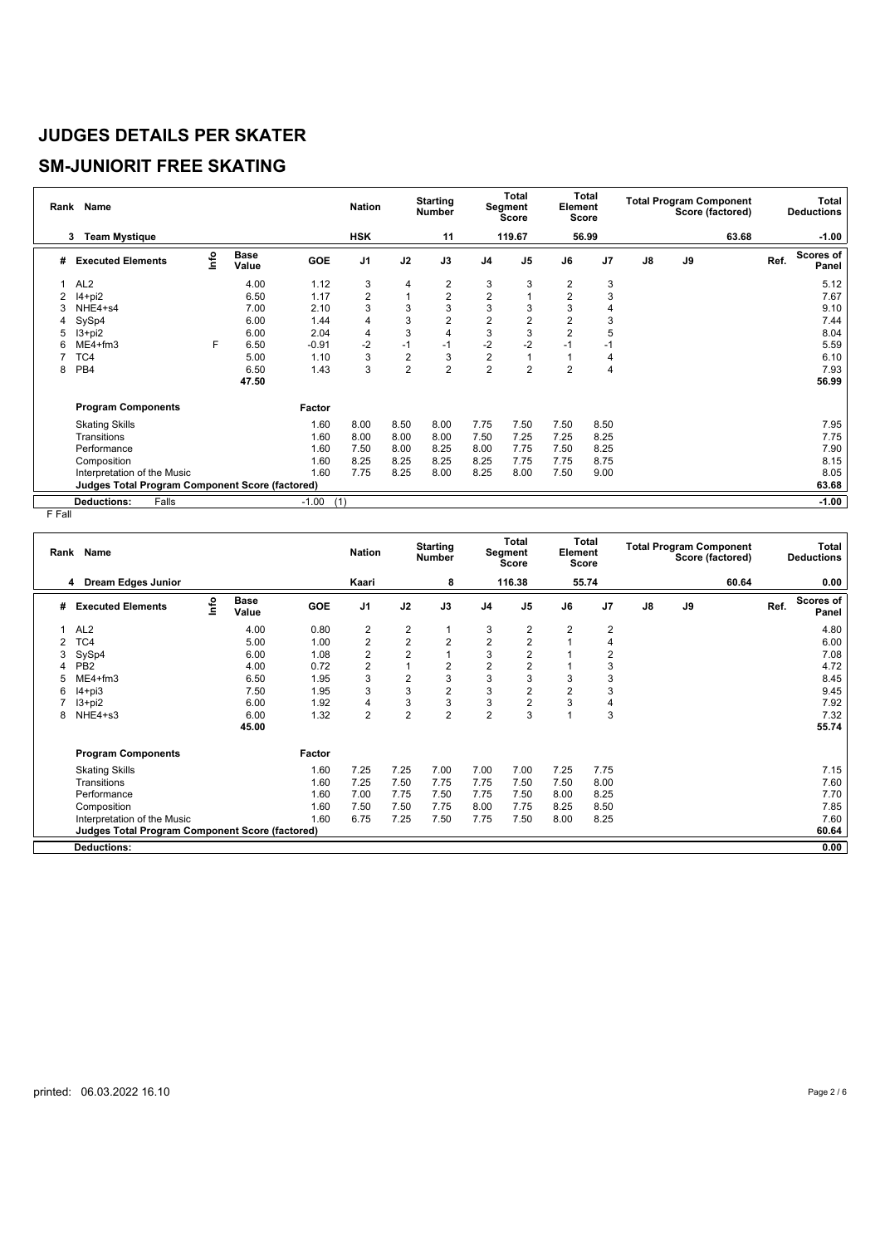## **SM-JUNIORIT FREE SKATING**

| Rank | Name                                                   |      |                      |         | <b>Nation</b>  |                | <b>Starting</b><br><b>Number</b> |                         | <b>Total</b><br>Segment<br><b>Score</b> | Element        | Total<br><b>Score</b> |    | <b>Total Program Component</b><br>Score (factored) |      | Total<br><b>Deductions</b> |
|------|--------------------------------------------------------|------|----------------------|---------|----------------|----------------|----------------------------------|-------------------------|-----------------------------------------|----------------|-----------------------|----|----------------------------------------------------|------|----------------------------|
|      | <b>Team Mystique</b><br>3                              |      |                      |         | <b>HSK</b>     |                | 11                               |                         | 119.67                                  |                | 56.99                 |    | 63.68                                              |      | $-1.00$                    |
| #    | <b>Executed Elements</b>                               | info | <b>Base</b><br>Value | GOE     | J <sub>1</sub> | J2             | J3                               | J <sub>4</sub>          | J <sub>5</sub>                          | J6             | J <sub>7</sub>        | J8 | J9                                                 | Ref. | Scores of<br>Panel         |
|      | AL <sub>2</sub>                                        |      | 4.00                 | 1.12    | 3              | 4              | 2                                | 3                       | 3                                       | 2              | 3                     |    |                                                    |      | 5.12                       |
|      | $14+pi2$                                               |      | 6.50                 | 1.17    | 2              | 1              | $\overline{\mathbf{c}}$          | $\overline{\mathbf{c}}$ |                                         | $\overline{2}$ | 3                     |    |                                                    |      | 7.67                       |
|      | NHE4+s4                                                |      | 7.00                 | 2.10    | 3              | 3              | 3                                | 3                       | 3                                       | 3              | 4                     |    |                                                    |      | 9.10                       |
| 4    | SySp4                                                  |      | 6.00                 | 1.44    | 4              | 3              | $\overline{2}$                   | $\overline{c}$          | 2                                       | $\overline{2}$ | 3                     |    |                                                    |      | 7.44                       |
| 5    | $13 + pi2$                                             |      | 6.00                 | 2.04    | 4              | 3              | 4                                | 3                       | 3                                       | $\overline{2}$ | 5                     |    |                                                    |      | 8.04                       |
| 6    | $ME4 + fm3$                                            | F    | 6.50                 | $-0.91$ | $-2$           | $-1$           | $-1$                             | $-2$                    | $-2$                                    | $-1$           | $-1$                  |    |                                                    |      | 5.59                       |
|      | TC4                                                    |      | 5.00                 | 1.10    | 3              | $\overline{2}$ | 3                                | $\overline{2}$          |                                         |                | 4                     |    |                                                    |      | 6.10                       |
| 8    | PB <sub>4</sub>                                        |      | 6.50                 | 1.43    | 3              | $\overline{2}$ | $\overline{2}$                   | $\overline{2}$          | $\overline{2}$                          | $\overline{2}$ | 4                     |    |                                                    |      | 7.93                       |
|      |                                                        |      | 47.50                |         |                |                |                                  |                         |                                         |                |                       |    |                                                    |      | 56.99                      |
|      | <b>Program Components</b>                              |      |                      | Factor  |                |                |                                  |                         |                                         |                |                       |    |                                                    |      |                            |
|      | <b>Skating Skills</b>                                  |      |                      | 1.60    | 8.00           | 8.50           | 8.00                             | 7.75                    | 7.50                                    | 7.50           | 8.50                  |    |                                                    |      | 7.95                       |
|      | Transitions                                            |      |                      | 1.60    | 8.00           | 8.00           | 8.00                             | 7.50                    | 7.25                                    | 7.25           | 8.25                  |    |                                                    |      | 7.75                       |
|      | Performance                                            |      |                      | 1.60    | 7.50           | 8.00           | 8.25                             | 8.00                    | 7.75                                    | 7.50           | 8.25                  |    |                                                    |      | 7.90                       |
|      | Composition                                            |      |                      | 1.60    | 8.25           | 8.25           | 8.25                             | 8.25                    | 7.75                                    | 7.75           | 8.75                  |    |                                                    |      | 8.15                       |
|      | Interpretation of the Music                            |      |                      | 1.60    | 7.75           | 8.25           | 8.00                             | 8.25                    | 8.00                                    | 7.50           | 9.00                  |    |                                                    |      | 8.05                       |
|      | <b>Judges Total Program Component Score (factored)</b> |      |                      |         |                |                |                                  |                         |                                         |                |                       |    |                                                    |      | 63.68                      |
|      | Falls<br><b>Deductions:</b>                            |      |                      | $-1.00$ | (1)            |                |                                  |                         |                                         |                |                       |    |                                                    |      | $-1.00$                    |

| Rank | Name                                            |    |                      |            | <b>Nation</b>           |                | <b>Starting</b><br><b>Number</b> |                | <b>Total</b><br>Segment<br><b>Score</b> | Element        | <b>Total</b><br><b>Score</b> |    | <b>Total Program Component</b><br>Score (factored) |      | Total<br><b>Deductions</b> |
|------|-------------------------------------------------|----|----------------------|------------|-------------------------|----------------|----------------------------------|----------------|-----------------------------------------|----------------|------------------------------|----|----------------------------------------------------|------|----------------------------|
|      | <b>Dream Edges Junior</b><br>4                  |    |                      |            | Kaari                   |                | 8                                |                | 116.38                                  |                | 55.74                        |    | 60.64                                              |      | 0.00                       |
| #    | <b>Executed Elements</b>                        | ۴o | <b>Base</b><br>Value | <b>GOE</b> | J <sub>1</sub>          | J2             | J3                               | J <sub>4</sub> | J <sub>5</sub>                          | J6             | J <sub>7</sub>               | J8 | J9                                                 | Ref. | Scores of<br>Panel         |
|      | AL <sub>2</sub>                                 |    | 4.00                 | 0.80       | $\overline{2}$          | $\overline{2}$ | 1                                | 3              | 2                                       | $\overline{2}$ | $\overline{2}$               |    |                                                    |      | 4.80                       |
|      | TC4                                             |    | 5.00                 | 1.00       | $\overline{2}$          | $\overline{2}$ | $\overline{2}$                   | $\overline{2}$ | $\overline{2}$                          |                | 4                            |    |                                                    |      | 6.00                       |
| 3    | SySp4                                           |    | 6.00                 | 1.08       | $\overline{\mathbf{c}}$ | $\overline{2}$ | 1                                | 3              | $\overline{c}$                          |                | $\overline{2}$               |    |                                                    |      | 7.08                       |
| Δ    | PB <sub>2</sub>                                 |    | 4.00                 | 0.72       | $\overline{2}$          |                | $\overline{c}$                   | $\overline{2}$ | 2                                       |                | 3                            |    |                                                    |      | 4.72                       |
| 5    | $ME4 + fm3$                                     |    | 6.50                 | 1.95       | 3                       | $\overline{2}$ | 3                                | 3              | 3                                       | 3              | 3                            |    |                                                    |      | 8.45                       |
| 6    | $I4 + pi3$                                      |    | 7.50                 | 1.95       | 3                       | 3              | $\overline{c}$                   | 3              | $\overline{2}$                          | 2              | 3                            |    |                                                    |      | 9.45                       |
|      | $13+pi2$                                        |    | 6.00                 | 1.92       | 4                       | 3              | 3                                | 3              | $\overline{2}$                          | 3              | 4                            |    |                                                    |      | 7.92                       |
| 8    | NHE4+s3                                         |    | 6.00                 | 1.32       | $\overline{2}$          | $\overline{2}$ | $\overline{2}$                   | $\overline{2}$ | 3                                       |                | 3                            |    |                                                    |      | 7.32                       |
|      |                                                 |    | 45.00                |            |                         |                |                                  |                |                                         |                |                              |    |                                                    |      | 55.74                      |
|      | <b>Program Components</b>                       |    |                      | Factor     |                         |                |                                  |                |                                         |                |                              |    |                                                    |      |                            |
|      | <b>Skating Skills</b>                           |    |                      | 1.60       | 7.25                    | 7.25           | 7.00                             | 7.00           | 7.00                                    | 7.25           | 7.75                         |    |                                                    |      | 7.15                       |
|      | Transitions                                     |    |                      | 1.60       | 7.25                    | 7.50           | 7.75                             | 7.75           | 7.50                                    | 7.50           | 8.00                         |    |                                                    |      | 7.60                       |
|      | Performance                                     |    |                      | 1.60       | 7.00                    | 7.75           | 7.50                             | 7.75           | 7.50                                    | 8.00           | 8.25                         |    |                                                    |      | 7.70                       |
|      | Composition                                     |    |                      | 1.60       | 7.50                    | 7.50           | 7.75                             | 8.00           | 7.75                                    | 8.25           | 8.50                         |    |                                                    |      | 7.85                       |
|      | Interpretation of the Music                     |    |                      | 1.60       | 6.75                    | 7.25           | 7.50                             | 7.75           | 7.50                                    | 8.00           | 8.25                         |    |                                                    |      | 7.60                       |
|      | Judges Total Program Component Score (factored) |    |                      |            |                         |                |                                  |                |                                         |                |                              |    |                                                    |      | 60.64                      |
|      | <b>Deductions:</b>                              |    |                      |            |                         |                |                                  |                |                                         |                |                              |    |                                                    |      | 0.00                       |
|      |                                                 |    |                      |            |                         |                |                                  |                |                                         |                |                              |    |                                                    |      |                            |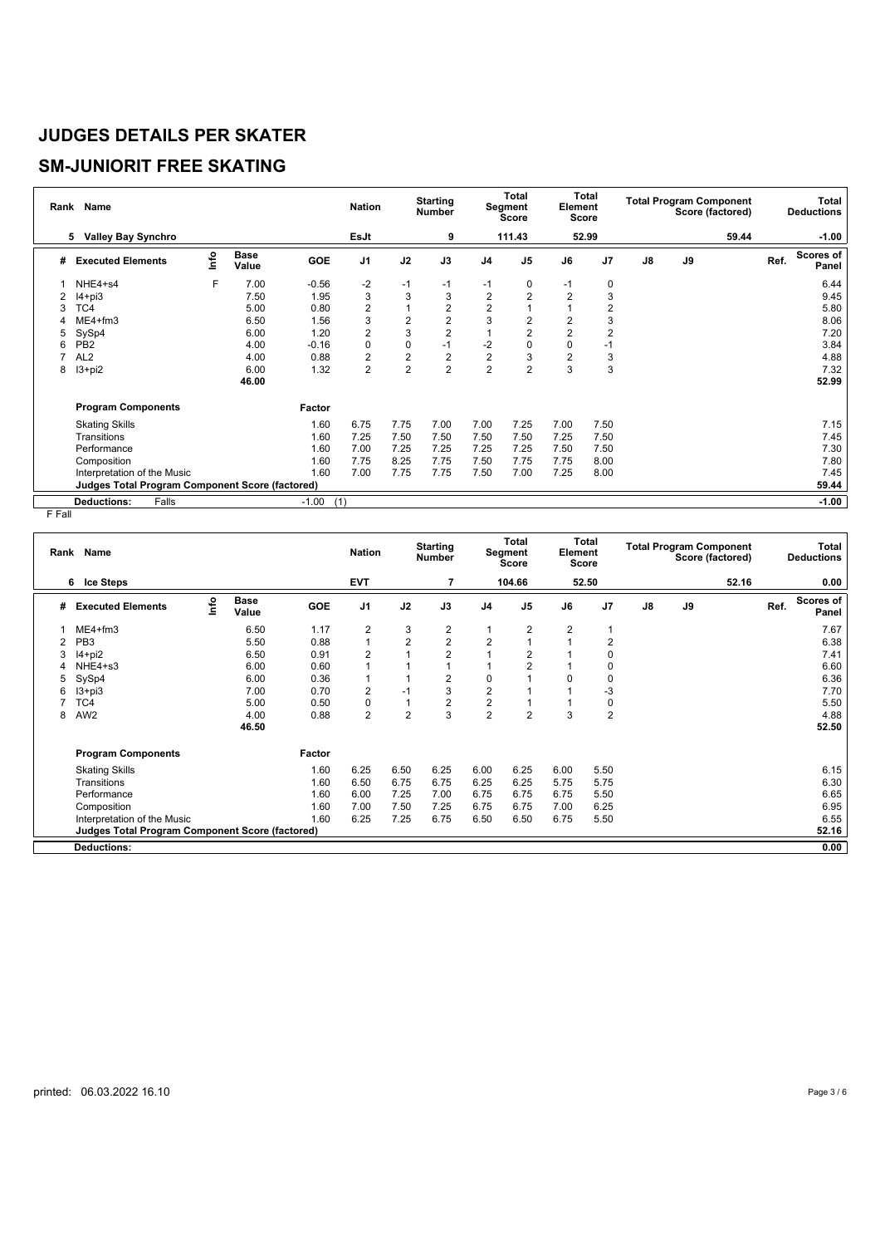# **SM-JUNIORIT FREE SKATING**

| Rank | <b>Name</b>                                            |      |                      |                | <b>Nation</b>  |                | <b>Starting</b><br><b>Number</b> |                | <b>Total</b><br>Segment<br><b>Score</b> | Element        | Total<br><b>Score</b> |               | <b>Total Program Component</b><br>Score (factored) |       |      | <b>Total</b><br><b>Deductions</b> |
|------|--------------------------------------------------------|------|----------------------|----------------|----------------|----------------|----------------------------------|----------------|-----------------------------------------|----------------|-----------------------|---------------|----------------------------------------------------|-------|------|-----------------------------------|
|      | <b>Valley Bay Synchro</b><br>5                         |      |                      |                | EsJt           |                | 9                                |                | 111.43                                  |                | 52.99                 |               |                                                    | 59.44 |      | $-1.00$                           |
| #    | <b>Executed Elements</b>                               | lnfo | <b>Base</b><br>Value | <b>GOE</b>     | J <sub>1</sub> | J2             | J3                               | J <sub>4</sub> | J <sub>5</sub>                          | J6             | J <sub>7</sub>        | $\mathsf{J}8$ | J9                                                 |       | Ref. | Scores of<br>Panel                |
|      | NHE4+s4                                                | F    | 7.00                 | $-0.56$        | $-2$           | $-1$           | $-1$                             | $-1$           | 0                                       | $-1$           | 0                     |               |                                                    |       |      | 6.44                              |
| 2    | $I4 + pi3$                                             |      | 7.50                 | 1.95           | 3              | 3              | 3                                | $\overline{2}$ | $\overline{2}$                          | $\overline{2}$ | 3                     |               |                                                    |       |      | 9.45                              |
| 3    | TC4                                                    |      | 5.00                 | 0.80           | $\overline{2}$ | 1              | 2                                | $\overline{c}$ |                                         |                | 2                     |               |                                                    |       |      | 5.80                              |
| 4    | $ME4 + fm3$                                            |      | 6.50                 | 1.56           | 3              | $\overline{2}$ | $\overline{2}$                   | 3              | 2                                       | $\overline{2}$ | 3                     |               |                                                    |       |      | 8.06                              |
| 5    | SySp4                                                  |      | 6.00                 | 1.20           | $\overline{2}$ | 3              | $\overline{2}$                   |                | $\overline{2}$                          | $\overline{2}$ | $\overline{2}$        |               |                                                    |       |      | 7.20                              |
| 6    | PB <sub>2</sub>                                        |      | 4.00                 | $-0.16$        | $\mathbf 0$    | $\mathbf 0$    | $-1$                             | $-2$           | 0                                       | 0              | $-1$                  |               |                                                    |       |      | 3.84                              |
|      | AL <sub>2</sub>                                        |      | 4.00                 | 0.88           | $\overline{2}$ | $\mathbf 2$    | $\overline{2}$                   | $\overline{2}$ | 3                                       | $\overline{2}$ | 3                     |               |                                                    |       |      | 4.88                              |
| 8    | $13 + pi2$                                             |      | 6.00                 | 1.32           | $\overline{2}$ | $\overline{2}$ | $\overline{2}$                   | $\overline{2}$ | $\overline{2}$                          | 3              | 3                     |               |                                                    |       |      | 7.32                              |
|      |                                                        |      | 46.00                |                |                |                |                                  |                |                                         |                |                       |               |                                                    |       |      | 52.99                             |
|      | <b>Program Components</b>                              |      |                      | Factor         |                |                |                                  |                |                                         |                |                       |               |                                                    |       |      |                                   |
|      | <b>Skating Skills</b>                                  |      |                      | 1.60           | 6.75           | 7.75           | 7.00                             | 7.00           | 7.25                                    | 7.00           | 7.50                  |               |                                                    |       |      | 7.15                              |
|      | Transitions                                            |      |                      | 1.60           | 7.25           | 7.50           | 7.50                             | 7.50           | 7.50                                    | 7.25           | 7.50                  |               |                                                    |       |      | 7.45                              |
|      | Performance                                            |      |                      | 1.60           | 7.00           | 7.25           | 7.25                             | 7.25           | 7.25                                    | 7.50           | 7.50                  |               |                                                    |       |      | 7.30                              |
|      | Composition                                            |      |                      | 1.60           | 7.75           | 8.25           | 7.75                             | 7.50           | 7.75                                    | 7.75           | 8.00                  |               |                                                    |       |      | 7.80                              |
|      | Interpretation of the Music                            |      |                      | 1.60           | 7.00           | 7.75           | 7.75                             | 7.50           | 7.00                                    | 7.25           | 8.00                  |               |                                                    |       |      | 7.45                              |
|      | <b>Judges Total Program Component Score (factored)</b> |      |                      |                |                |                |                                  |                |                                         |                |                       |               |                                                    |       |      | 59.44                             |
|      | Falls<br><b>Deductions:</b>                            |      |                      | $-1.00$<br>(1) |                |                |                                  |                |                                         |                |                       |               |                                                    |       |      | $-1.00$                           |

| Rank | Name                                            |    |                      |            | <b>Nation</b>  |                | <b>Starting</b><br><b>Number</b> |                | <b>Total</b><br><b>Segment</b><br><b>Score</b> | Element        | <b>Total</b><br><b>Score</b> |               | <b>Total Program Component</b><br>Score (factored) |       |      | Total<br><b>Deductions</b> |
|------|-------------------------------------------------|----|----------------------|------------|----------------|----------------|----------------------------------|----------------|------------------------------------------------|----------------|------------------------------|---------------|----------------------------------------------------|-------|------|----------------------------|
|      | <b>Ice Steps</b><br>6.                          |    |                      |            | <b>EVT</b>     |                | 7                                |                | 104.66                                         |                | 52.50                        |               |                                                    | 52.16 |      | 0.00                       |
| #    | <b>Executed Elements</b>                        | ۴o | <b>Base</b><br>Value | <b>GOE</b> | J <sub>1</sub> | J2             | J3                               | J <sub>4</sub> | J <sub>5</sub>                                 | J6             | J <sub>7</sub>               | $\mathsf{J}8$ | J9                                                 |       | Ref. | <b>Scores of</b><br>Panel  |
|      | $ME4 + fm3$                                     |    | 6.50                 | 1.17       | $\overline{2}$ | 3              | 2                                |                | 2                                              | $\overline{2}$ |                              |               |                                                    |       |      | 7.67                       |
|      | PB <sub>3</sub>                                 |    | 5.50                 | 0.88       | 1              | $\overline{2}$ | $\overline{2}$                   | $\overline{2}$ |                                                |                | $\overline{2}$               |               |                                                    |       |      | 6.38                       |
|      | $14+pi2$                                        |    | 6.50                 | 0.91       | $\overline{2}$ |                | $\overline{2}$                   |                | $\overline{2}$                                 |                | 0                            |               |                                                    |       |      | 7.41                       |
| 4    | NHE4+s3                                         |    | 6.00                 | 0.60       | 1              |                | 1                                |                | $\overline{2}$                                 |                | 0                            |               |                                                    |       |      | 6.60                       |
| 5    | SySp4                                           |    | 6.00                 | 0.36       | $\mathbf{1}$   |                | $\overline{2}$                   | 0              |                                                | 0              | 0                            |               |                                                    |       |      | 6.36                       |
| 6    | $13 + pi3$                                      |    | 7.00                 | 0.70       | $\overline{2}$ | $-1$           | 3                                | $\overline{2}$ |                                                |                | -3                           |               |                                                    |       |      | 7.70                       |
|      | TC4                                             |    | 5.00                 | 0.50       | $\mathbf 0$    | 1              | 2                                | $\overline{2}$ |                                                |                | 0                            |               |                                                    |       |      | 5.50                       |
| 8    | AW <sub>2</sub>                                 |    | 4.00                 | 0.88       | $\overline{2}$ | $\overline{2}$ | 3                                | $\overline{2}$ | $\overline{2}$                                 | 3              | $\overline{2}$               |               |                                                    |       |      | 4.88                       |
|      |                                                 |    | 46.50                |            |                |                |                                  |                |                                                |                |                              |               |                                                    |       |      | 52.50                      |
|      | <b>Program Components</b>                       |    |                      | Factor     |                |                |                                  |                |                                                |                |                              |               |                                                    |       |      |                            |
|      | <b>Skating Skills</b>                           |    |                      | 1.60       | 6.25           | 6.50           | 6.25                             | 6.00           | 6.25                                           | 6.00           | 5.50                         |               |                                                    |       |      | 6.15                       |
|      | Transitions                                     |    |                      | 1.60       | 6.50           | 6.75           | 6.75                             | 6.25           | 6.25                                           | 5.75           | 5.75                         |               |                                                    |       |      | 6.30                       |
|      | Performance                                     |    |                      | 1.60       | 6.00           | 7.25           | 7.00                             | 6.75           | 6.75                                           | 6.75           | 5.50                         |               |                                                    |       |      | 6.65                       |
|      | Composition                                     |    |                      | 1.60       | 7.00           | 7.50           | 7.25                             | 6.75           | 6.75                                           | 7.00           | 6.25                         |               |                                                    |       |      | 6.95                       |
|      | Interpretation of the Music                     |    |                      | 1.60       | 6.25           | 7.25           | 6.75                             | 6.50           | 6.50                                           | 6.75           | 5.50                         |               |                                                    |       |      | 6.55                       |
|      | Judges Total Program Component Score (factored) |    |                      |            |                |                |                                  |                |                                                |                |                              |               |                                                    |       |      | 52.16                      |
|      | <b>Deductions:</b>                              |    |                      |            |                |                |                                  |                |                                                |                |                              |               |                                                    |       |      | 0.00                       |
|      |                                                 |    |                      |            |                |                |                                  |                |                                                |                |                              |               |                                                    |       |      |                            |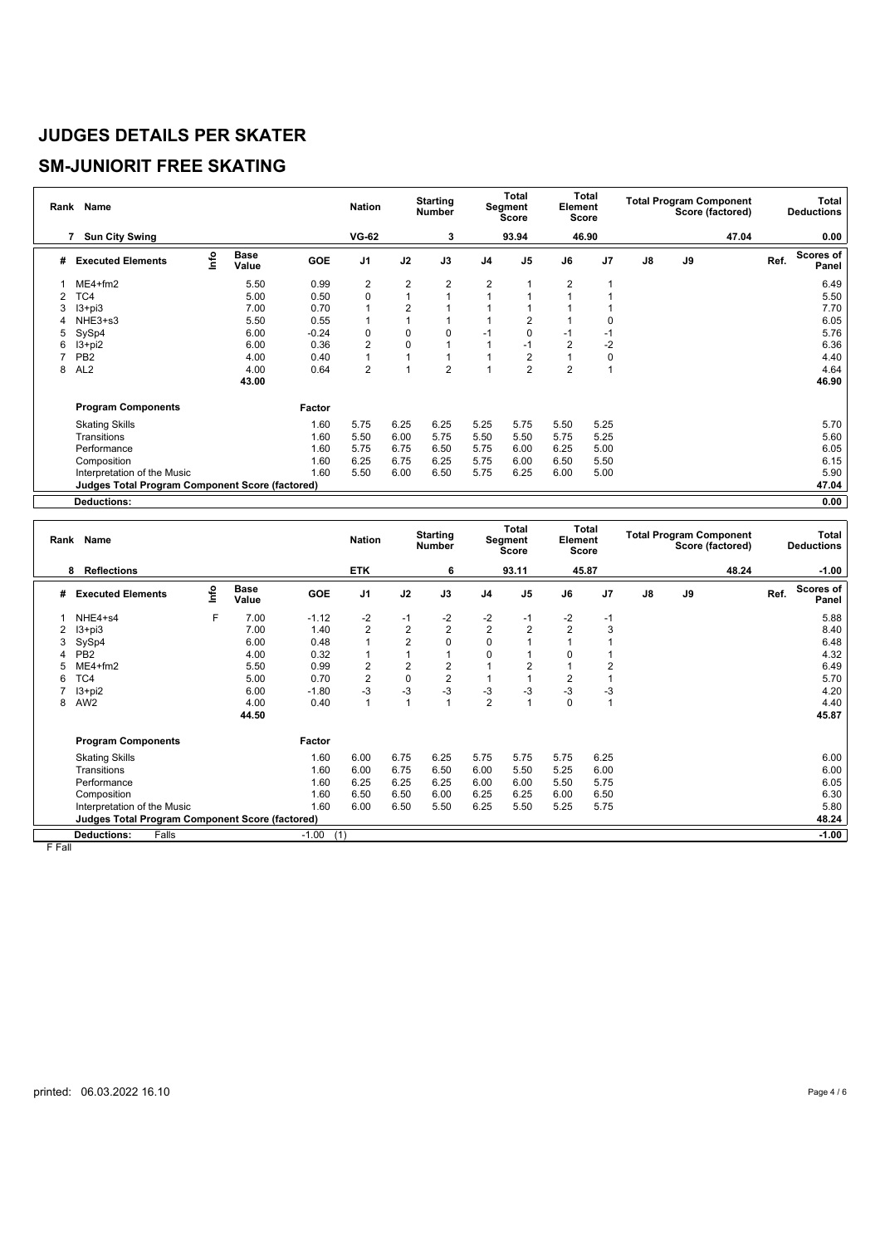## **SM-JUNIORIT FREE SKATING**

|   | Rank Name                                       |      |                      |            | <b>Nation</b>  |                | <b>Starting</b><br><b>Number</b> |                | <b>Total</b><br>Segment<br>Score | Element        | Total<br>Score |               |    | <b>Total Program Component</b><br>Score (factored) |      | Total<br><b>Deductions</b> |
|---|-------------------------------------------------|------|----------------------|------------|----------------|----------------|----------------------------------|----------------|----------------------------------|----------------|----------------|---------------|----|----------------------------------------------------|------|----------------------------|
|   | <b>Sun City Swing</b><br>7                      |      |                      |            | <b>VG-62</b>   |                | 3                                |                | 93.94                            |                | 46.90          |               |    | 47.04                                              |      | 0.00                       |
| # | <b>Executed Elements</b>                        | ١nfo | <b>Base</b><br>Value | <b>GOE</b> | J <sub>1</sub> | J2             | J3                               | J <sub>4</sub> | J <sub>5</sub>                   | J6             | J <sub>7</sub> | $\mathsf{J}8$ | J9 |                                                    | Ref. | Scores of<br>Panel         |
|   | $ME4 + fm2$                                     |      | 5.50                 | 0.99       | 2              | 2              | 2                                | 2              |                                  | 2              |                |               |    |                                                    |      | 6.49                       |
| 2 | TC4                                             |      | 5.00                 | 0.50       | $\mathbf 0$    | 1              |                                  |                |                                  |                |                |               |    |                                                    |      | 5.50                       |
| 3 | $13 + pi3$                                      |      | 7.00                 | 0.70       |                | $\overline{2}$ |                                  |                |                                  |                |                |               |    |                                                    |      | 7.70                       |
|   | NHE3+s3                                         |      | 5.50                 | 0.55       |                |                |                                  |                | $\overline{2}$                   |                | $\Omega$       |               |    |                                                    |      | 6.05                       |
| 5 | SySp4                                           |      | 6.00                 | $-0.24$    | $\mathbf 0$    | 0              | 0                                | $-1$           | 0                                | $-1$           | $-1$           |               |    |                                                    |      | 5.76                       |
| 6 | I3+pi2                                          |      | 6.00                 | 0.36       | $\overline{2}$ | 0              |                                  |                | $-1$                             | $\overline{2}$ | $-2$           |               |    |                                                    |      | 6.36                       |
|   | PB <sub>2</sub>                                 |      | 4.00                 | 0.40       |                |                |                                  |                | $\overline{2}$                   |                | $\mathbf 0$    |               |    |                                                    |      | 4.40                       |
| 8 | AL <sub>2</sub>                                 |      | 4.00                 | 0.64       | $\overline{2}$ |                | $\overline{2}$                   |                | $\overline{2}$                   | $\overline{2}$ |                |               |    |                                                    |      | 4.64                       |
|   |                                                 |      | 43.00                |            |                |                |                                  |                |                                  |                |                |               |    |                                                    |      | 46.90                      |
|   | <b>Program Components</b>                       |      |                      | Factor     |                |                |                                  |                |                                  |                |                |               |    |                                                    |      |                            |
|   | <b>Skating Skills</b>                           |      |                      | 1.60       | 5.75           | 6.25           | 6.25                             | 5.25           | 5.75                             | 5.50           | 5.25           |               |    |                                                    |      | 5.70                       |
|   | Transitions                                     |      |                      | 1.60       | 5.50           | 6.00           | 5.75                             | 5.50           | 5.50                             | 5.75           | 5.25           |               |    |                                                    |      | 5.60                       |
|   | Performance                                     |      |                      | 1.60       | 5.75           | 6.75           | 6.50                             | 5.75           | 6.00                             | 6.25           | 5.00           |               |    |                                                    |      | 6.05                       |
|   | Composition                                     |      |                      | 1.60       | 6.25           | 6.75           | 6.25                             | 5.75           | 6.00                             | 6.50           | 5.50           |               |    |                                                    |      | 6.15                       |
|   | Interpretation of the Music                     |      |                      | 1.60       | 5.50           | 6.00           | 6.50                             | 5.75           | 6.25                             | 6.00           | 5.00           |               |    |                                                    |      | 5.90                       |
|   | Judges Total Program Component Score (factored) |      |                      |            |                |                |                                  |                |                                  |                |                |               |    |                                                    |      | 47.04                      |
|   | <b>Deductions:</b>                              |      |                      |            |                |                |                                  |                |                                  |                |                |               |    |                                                    |      | 0.00                       |

| Rank | Name                                                   |      |                      |                | <b>Nation</b>  |                | <b>Starting</b><br><b>Number</b> |                | Total<br>Segment<br>Score | Element        | Total<br>Score |               | <b>Total Program Component</b><br>Score (factored) |       | Total<br><b>Deductions</b>        |
|------|--------------------------------------------------------|------|----------------------|----------------|----------------|----------------|----------------------------------|----------------|---------------------------|----------------|----------------|---------------|----------------------------------------------------|-------|-----------------------------------|
|      | <b>Reflections</b><br>8                                |      |                      |                | <b>ETK</b>     |                | 6                                |                | 93.11                     |                | 45.87          |               |                                                    | 48.24 | $-1.00$                           |
| #    | <b>Executed Elements</b>                               | info | <b>Base</b><br>Value | GOE            | J <sub>1</sub> | J2             | J3                               | J <sub>4</sub> | J <sub>5</sub>            | J6             | J <sub>7</sub> | $\mathsf{J}8$ | J9                                                 |       | Scores of<br>Ref.<br><b>Panel</b> |
|      | NHE4+s4                                                | F    | 7.00                 | $-1.12$        | -2             | $-1$           | $-2$                             | $-2$           | $-1$                      | $-2$           | $-1$           |               |                                                    |       | 5.88                              |
| 2    | $13 + pi3$                                             |      | 7.00                 | 1.40           | $\overline{2}$ | $\overline{2}$ | $\overline{2}$                   | $\overline{2}$ | $\overline{2}$            | $\overline{2}$ | 3              |               |                                                    |       | 8.40                              |
| 3    | SySp4                                                  |      | 6.00                 | 0.48           |                | $\overline{2}$ | $\Omega$                         | $\Omega$       |                           |                |                |               |                                                    |       | 6.48                              |
|      | PB <sub>2</sub>                                        |      | 4.00                 | 0.32           |                |                |                                  | $\Omega$       |                           |                |                |               |                                                    |       | 4.32                              |
|      | $ME4 + fm2$                                            |      | 5.50                 | 0.99           | 2              | $\overline{2}$ | $\overline{2}$                   |                | $\overline{2}$            |                | 2              |               |                                                    |       | 6.49                              |
| 6    | TC4                                                    |      | 5.00                 | 0.70           | $\overline{2}$ | $\mathbf 0$    | $\overline{2}$                   |                |                           | 2              |                |               |                                                    |       | 5.70                              |
|      | $13 + pi2$                                             |      | 6.00                 | $-1.80$        | $-3$           | $-3$           | $-3$                             | $-3$           | $-3$                      | $-3$           | $-3$           |               |                                                    |       | 4.20                              |
| 8    | AW <sub>2</sub>                                        |      | 4.00                 | 0.40           |                | $\overline{A}$ |                                  | $\overline{2}$ |                           | $\Omega$       |                |               |                                                    |       | 4.40                              |
|      |                                                        |      | 44.50                |                |                |                |                                  |                |                           |                |                |               |                                                    |       | 45.87                             |
|      | <b>Program Components</b>                              |      |                      | Factor         |                |                |                                  |                |                           |                |                |               |                                                    |       |                                   |
|      | <b>Skating Skills</b>                                  |      |                      | 1.60           | 6.00           | 6.75           | 6.25                             | 5.75           | 5.75                      | 5.75           | 6.25           |               |                                                    |       | 6.00                              |
|      | Transitions                                            |      |                      | 1.60           | 6.00           | 6.75           | 6.50                             | 6.00           | 5.50                      | 5.25           | 6.00           |               |                                                    |       | 6.00                              |
|      | Performance                                            |      |                      | 1.60           | 6.25           | 6.25           | 6.25                             | 6.00           | 6.00                      | 5.50           | 5.75           |               |                                                    |       | 6.05                              |
|      | Composition                                            |      |                      | 1.60           | 6.50           | 6.50           | 6.00                             | 6.25           | 6.25                      | 6.00           | 6.50           |               |                                                    |       | 6.30                              |
|      | Interpretation of the Music                            |      |                      | 1.60           | 6.00           | 6.50           | 5.50                             | 6.25           | 5.50                      | 5.25           | 5.75           |               |                                                    |       | 5.80                              |
|      | <b>Judges Total Program Component Score (factored)</b> |      |                      |                |                |                |                                  |                |                           |                |                |               |                                                    |       | 48.24                             |
|      | Falls<br><b>Deductions:</b>                            |      |                      | (1)<br>$-1.00$ |                |                |                                  |                |                           |                |                |               |                                                    |       | $-1.00$                           |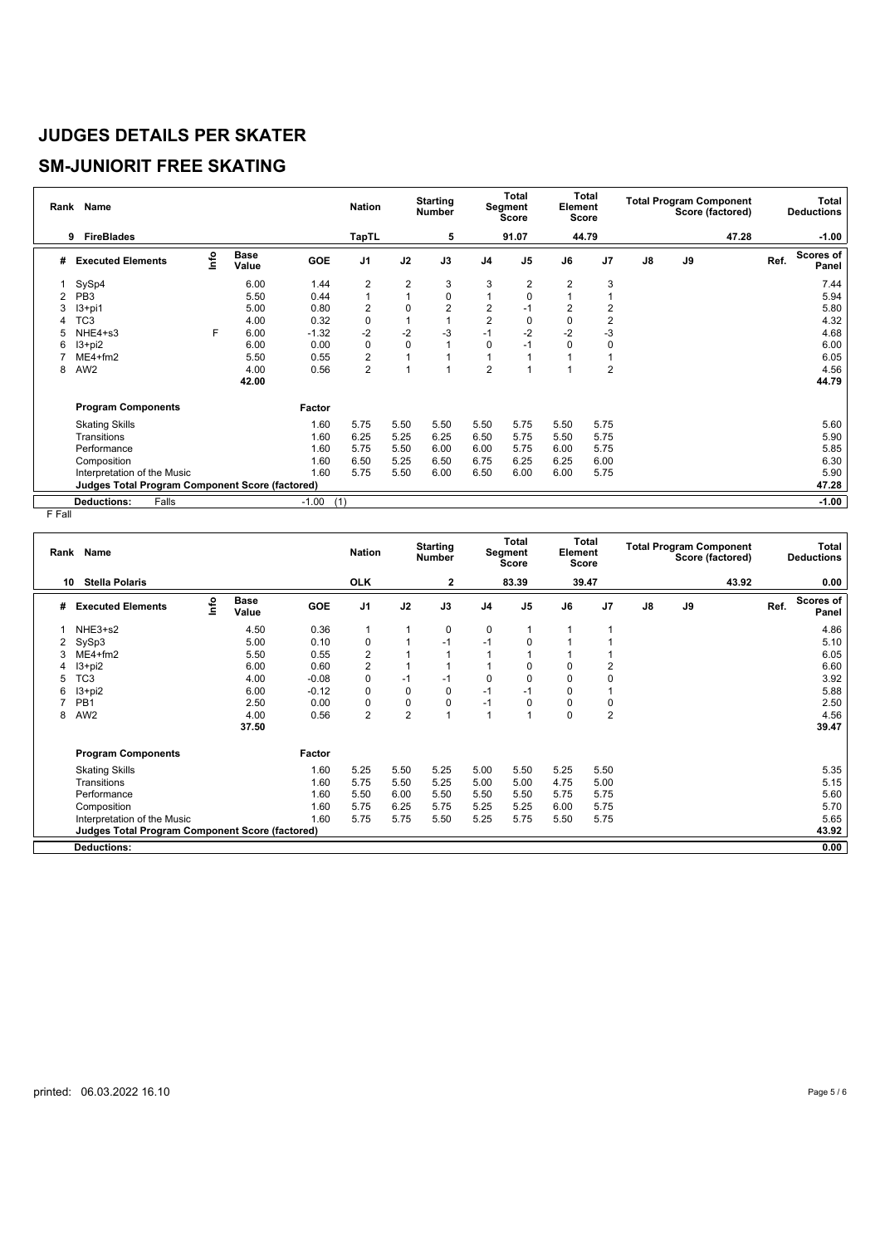# **SM-JUNIORIT FREE SKATING**

| Rank           | Name                                                   |      |                      |                | <b>Nation</b>  |             | <b>Starting</b><br>Number |                | Total<br>Segment<br><b>Score</b> | Element  | <b>Total</b><br>Score |    | <b>Total Program Component</b> | Score (factored) |      | <b>Total</b><br><b>Deductions</b> |
|----------------|--------------------------------------------------------|------|----------------------|----------------|----------------|-------------|---------------------------|----------------|----------------------------------|----------|-----------------------|----|--------------------------------|------------------|------|-----------------------------------|
|                | <b>FireBlades</b><br>9                                 |      |                      |                | <b>TapTL</b>   |             | 5                         |                | 91.07                            |          | 44.79                 |    |                                | 47.28            |      | $-1.00$                           |
| #              | <b>Executed Elements</b>                               | lnfo | <b>Base</b><br>Value | <b>GOE</b>     | J <sub>1</sub> | J2          | J3                        | J <sub>4</sub> | J <sub>5</sub>                   | J6       | J <sub>7</sub>        | J8 | J9                             |                  | Ref. | Scores of<br>Panel                |
|                | SySp4                                                  |      | 6.00                 | 1.44           | 2              | 2           | 3                         | 3              | 2                                | 2        | 3                     |    |                                |                  |      | 7.44                              |
| $\overline{2}$ | PB <sub>3</sub>                                        |      | 5.50                 | 0.44           | 1              | 1           | $\mathbf 0$               |                | $\Omega$                         |          |                       |    |                                |                  |      | 5.94                              |
| 3              | $13+pi1$                                               |      | 5.00                 | 0.80           | 2              | $\Omega$    | 2                         | 2              | -1                               | 2        | 2                     |    |                                |                  |      | 5.80                              |
|                | TC <sub>3</sub>                                        |      | 4.00                 | 0.32           | 0              |             |                           | $\overline{2}$ | $\Omega$                         | 0        | $\overline{2}$        |    |                                |                  |      | 4.32                              |
|                | NHE4+s3                                                | F    | 6.00                 | $-1.32$        | $-2$           | $-2$        | $-3$                      | $-1$           | $-2$                             | $-2$     | $-3$                  |    |                                |                  |      | 4.68                              |
| 6              | $13 + pi2$                                             |      | 6.00                 | 0.00           | 0              | $\mathbf 0$ |                           | 0              | -1                               | $\Omega$ | $\mathbf 0$           |    |                                |                  |      | 6.00                              |
|                | $ME4 + fm2$                                            |      | 5.50                 | 0.55           | $\overline{c}$ |             |                           |                |                                  |          |                       |    |                                |                  |      | 6.05                              |
| 8              | AW <sub>2</sub>                                        |      | 4.00                 | 0.56           | $\overline{2}$ |             |                           | $\overline{2}$ |                                  |          | $\overline{2}$        |    |                                |                  |      | 4.56                              |
|                |                                                        |      | 42.00                |                |                |             |                           |                |                                  |          |                       |    |                                |                  |      | 44.79                             |
|                | <b>Program Components</b>                              |      |                      | Factor         |                |             |                           |                |                                  |          |                       |    |                                |                  |      |                                   |
|                | <b>Skating Skills</b>                                  |      |                      | 1.60           | 5.75           | 5.50        | 5.50                      | 5.50           | 5.75                             | 5.50     | 5.75                  |    |                                |                  |      | 5.60                              |
|                | Transitions                                            |      |                      | 1.60           | 6.25           | 5.25        | 6.25                      | 6.50           | 5.75                             | 5.50     | 5.75                  |    |                                |                  |      | 5.90                              |
|                | Performance                                            |      |                      | 1.60           | 5.75           | 5.50        | 6.00                      | 6.00           | 5.75                             | 6.00     | 5.75                  |    |                                |                  |      | 5.85                              |
|                | Composition                                            |      |                      | 1.60           | 6.50           | 5.25        | 6.50                      | 6.75           | 6.25                             | 6.25     | 6.00                  |    |                                |                  |      | 6.30                              |
|                | Interpretation of the Music                            |      |                      | 1.60           | 5.75           | 5.50        | 6.00                      | 6.50           | 6.00                             | 6.00     | 5.75                  |    |                                |                  |      | 5.90                              |
|                | <b>Judges Total Program Component Score (factored)</b> |      |                      |                |                |             |                           |                |                                  |          |                       |    |                                |                  |      | 47.28                             |
|                | Falls<br><b>Deductions:</b>                            |      |                      | $-1.00$<br>(1) |                |             |                           |                |                                  |          |                       |    |                                |                  |      | $-1.00$                           |

| Rank | <b>Name</b>                                     |      |                      |            | <b>Nation</b>  |                | <b>Starting</b><br><b>Number</b> |                | <b>Total</b><br><b>Segment</b><br><b>Score</b> | Element  | Total<br><b>Score</b> |               | <b>Total Program Component</b> | Score (factored) |      | Total<br><b>Deductions</b> |
|------|-------------------------------------------------|------|----------------------|------------|----------------|----------------|----------------------------------|----------------|------------------------------------------------|----------|-----------------------|---------------|--------------------------------|------------------|------|----------------------------|
| 10   | <b>Stella Polaris</b>                           |      |                      |            | <b>OLK</b>     |                | $\mathbf{2}$                     |                | 83.39                                          |          | 39.47                 |               |                                | 43.92            |      | 0.00                       |
| #    | <b>Executed Elements</b>                        | lnfo | <b>Base</b><br>Value | <b>GOE</b> | J <sub>1</sub> | J2             | J3                               | J <sub>4</sub> | J <sub>5</sub>                                 | J6       | J <sub>7</sub>        | $\mathsf{J}8$ | J9                             |                  | Ref. | <b>Scores of</b><br>Panel  |
|      | NHE3+s2                                         |      | 4.50                 | 0.36       | 1              | 1              | 0                                | 0              | 1                                              | 1        |                       |               |                                |                  |      | 4.86                       |
|      | SySp3                                           |      | 5.00                 | 0.10       | 0              |                | $-1$                             | $-1$           | 0                                              |          |                       |               |                                |                  |      | 5.10                       |
|      | $ME4 + fm2$                                     |      | 5.50                 | 0.55       | $\overline{c}$ |                |                                  |                |                                                |          |                       |               |                                |                  |      | 6.05                       |
|      | $13 + pi2$                                      |      | 6.00                 | 0.60       | $\overline{c}$ |                | 1                                |                | 0                                              | $\Omega$ | 2                     |               |                                |                  |      | 6.60                       |
| 5    | TC <sub>3</sub>                                 |      | 4.00                 | $-0.08$    | $\pmb{0}$      | $-1$           | $-1$                             | 0              | 0                                              | 0        | 0                     |               |                                |                  |      | 3.92                       |
| 6    | $13 + pi2$                                      |      | 6.00                 | $-0.12$    | 0              | $\mathbf 0$    | 0                                | $-1$           | -1                                             | $\Omega$ |                       |               |                                |                  |      | 5.88                       |
|      | PB <sub>1</sub>                                 |      | 2.50                 | 0.00       | $\mathbf 0$    | 0              | 0                                | $-1$           | 0                                              | $\Omega$ | 0                     |               |                                |                  |      | 2.50                       |
| 8    | AW <sub>2</sub>                                 |      | 4.00                 | 0.56       | $\overline{2}$ | $\overline{2}$ | 1                                |                | 1                                              | 0        | $\overline{2}$        |               |                                |                  |      | 4.56                       |
|      |                                                 |      | 37.50                |            |                |                |                                  |                |                                                |          |                       |               |                                |                  |      | 39.47                      |
|      | <b>Program Components</b>                       |      |                      | Factor     |                |                |                                  |                |                                                |          |                       |               |                                |                  |      |                            |
|      | <b>Skating Skills</b>                           |      |                      | 1.60       | 5.25           | 5.50           | 5.25                             | 5.00           | 5.50                                           | 5.25     | 5.50                  |               |                                |                  |      | 5.35                       |
|      | Transitions                                     |      |                      | 1.60       | 5.75           | 5.50           | 5.25                             | 5.00           | 5.00                                           | 4.75     | 5.00                  |               |                                |                  |      | 5.15                       |
|      | Performance                                     |      |                      | 1.60       | 5.50           | 6.00           | 5.50                             | 5.50           | 5.50                                           | 5.75     | 5.75                  |               |                                |                  |      | 5.60                       |
|      | Composition                                     |      |                      | 1.60       | 5.75           | 6.25           | 5.75                             | 5.25           | 5.25                                           | 6.00     | 5.75                  |               |                                |                  |      | 5.70                       |
|      | Interpretation of the Music                     |      |                      | 1.60       | 5.75           | 5.75           | 5.50                             | 5.25           | 5.75                                           | 5.50     | 5.75                  |               |                                |                  |      | 5.65                       |
|      | Judges Total Program Component Score (factored) |      |                      |            |                |                |                                  |                |                                                |          |                       |               |                                |                  |      | 43.92                      |
|      | <b>Deductions:</b>                              |      |                      |            |                |                |                                  |                |                                                |          |                       |               |                                |                  |      | 0.00                       |
|      |                                                 |      |                      |            |                |                |                                  |                |                                                |          |                       |               |                                |                  |      |                            |